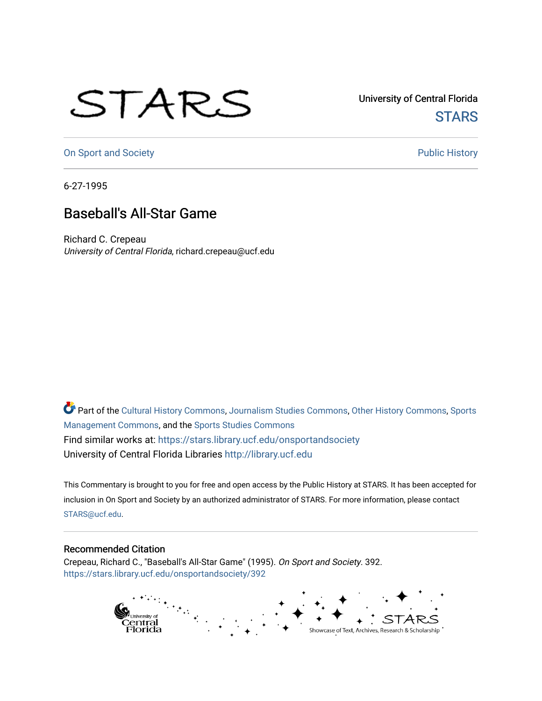## STARS

University of Central Florida **STARS** 

[On Sport and Society](https://stars.library.ucf.edu/onsportandsociety) **Public History** Public History

6-27-1995

## Baseball's All-Star Game

Richard C. Crepeau University of Central Florida, richard.crepeau@ucf.edu

Part of the [Cultural History Commons](http://network.bepress.com/hgg/discipline/496?utm_source=stars.library.ucf.edu%2Fonsportandsociety%2F392&utm_medium=PDF&utm_campaign=PDFCoverPages), [Journalism Studies Commons,](http://network.bepress.com/hgg/discipline/333?utm_source=stars.library.ucf.edu%2Fonsportandsociety%2F392&utm_medium=PDF&utm_campaign=PDFCoverPages) [Other History Commons,](http://network.bepress.com/hgg/discipline/508?utm_source=stars.library.ucf.edu%2Fonsportandsociety%2F392&utm_medium=PDF&utm_campaign=PDFCoverPages) [Sports](http://network.bepress.com/hgg/discipline/1193?utm_source=stars.library.ucf.edu%2Fonsportandsociety%2F392&utm_medium=PDF&utm_campaign=PDFCoverPages) [Management Commons](http://network.bepress.com/hgg/discipline/1193?utm_source=stars.library.ucf.edu%2Fonsportandsociety%2F392&utm_medium=PDF&utm_campaign=PDFCoverPages), and the [Sports Studies Commons](http://network.bepress.com/hgg/discipline/1198?utm_source=stars.library.ucf.edu%2Fonsportandsociety%2F392&utm_medium=PDF&utm_campaign=PDFCoverPages) Find similar works at: <https://stars.library.ucf.edu/onsportandsociety> University of Central Florida Libraries [http://library.ucf.edu](http://library.ucf.edu/) 

This Commentary is brought to you for free and open access by the Public History at STARS. It has been accepted for inclusion in On Sport and Society by an authorized administrator of STARS. For more information, please contact [STARS@ucf.edu](mailto:STARS@ucf.edu).

## Recommended Citation

Crepeau, Richard C., "Baseball's All-Star Game" (1995). On Sport and Society. 392. [https://stars.library.ucf.edu/onsportandsociety/392](https://stars.library.ucf.edu/onsportandsociety/392?utm_source=stars.library.ucf.edu%2Fonsportandsociety%2F392&utm_medium=PDF&utm_campaign=PDFCoverPages)

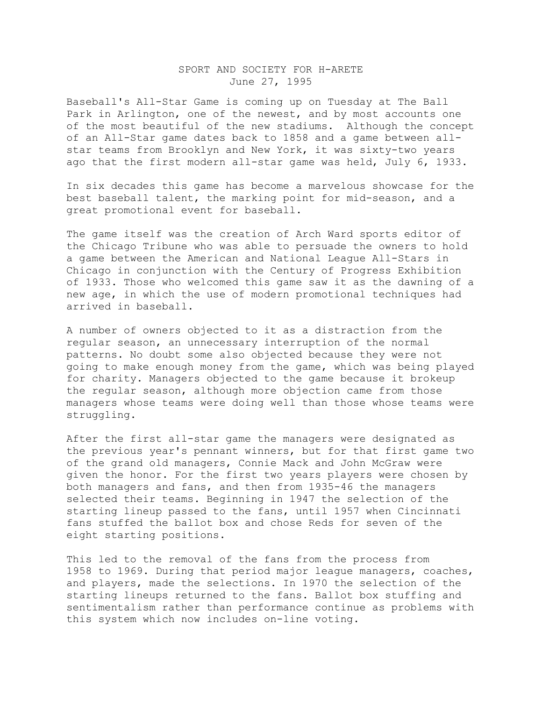## SPORT AND SOCIETY FOR H-ARETE June 27, 1995

Baseball's All-Star Game is coming up on Tuesday at The Ball Park in Arlington, one of the newest, and by most accounts one of the most beautiful of the new stadiums. Although the concept of an All-Star game dates back to 1858 and a game between allstar teams from Brooklyn and New York, it was sixty-two years ago that the first modern all-star game was held, July 6, 1933.

In six decades this game has become a marvelous showcase for the best baseball talent, the marking point for mid-season, and a great promotional event for baseball.

The game itself was the creation of Arch Ward sports editor of the Chicago Tribune who was able to persuade the owners to hold a game between the American and National League All-Stars in Chicago in conjunction with the Century of Progress Exhibition of 1933. Those who welcomed this game saw it as the dawning of a new age, in which the use of modern promotional techniques had arrived in baseball.

A number of owners objected to it as a distraction from the regular season, an unnecessary interruption of the normal patterns. No doubt some also objected because they were not going to make enough money from the game, which was being played for charity. Managers objected to the game because it brokeup the regular season, although more objection came from those managers whose teams were doing well than those whose teams were struggling.

After the first all-star game the managers were designated as the previous year's pennant winners, but for that first game two of the grand old managers, Connie Mack and John McGraw were given the honor. For the first two years players were chosen by both managers and fans, and then from 1935-46 the managers selected their teams. Beginning in 1947 the selection of the starting lineup passed to the fans, until 1957 when Cincinnati fans stuffed the ballot box and chose Reds for seven of the eight starting positions.

This led to the removal of the fans from the process from 1958 to 1969. During that period major league managers, coaches, and players, made the selections. In 1970 the selection of the starting lineups returned to the fans. Ballot box stuffing and sentimentalism rather than performance continue as problems with this system which now includes on-line voting.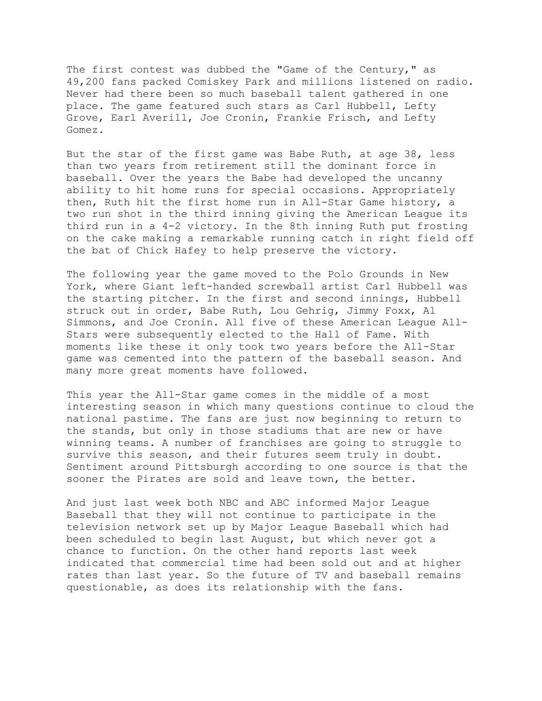The first contest was dubbed the "Game of the Century," as 49,200 fans packed Comiskey Park and millions listened on radio. Never had there been so much baseball talent gathered in one place. The game featured such stars as Carl Hubbell, Lefty Grove, Earl Averill, Joe Cronin, Frankie Frisch, and Lefty Gomez.

But the star of the first game was Babe Ruth, at age 38, less than two years from retirement still the dominant force in baseball. Over the years the Babe had developed the uncanny ability to hit home runs for special occasions. Appropriately then, Ruth hit the first home run in All-Star Game history, a two run shot in the third inning giving the American League its third run in a 4-2 victory. In the 8th inning Ruth put frosting on the cake making a remarkable running catch in right field off the bat of Chick Hafey to help preserve the victory.

The following year the game moved to the Polo Grounds in New York, where Giant left-handed screwball artist Carl Hubbell was the starting pitcher. In the first and second innings, Hubbell struck out in order, Babe Ruth, Lou Gehrig, Jimmy Foxx, Al Simmons, and Joe Cronin. All five of these American League All-Stars were subsequently elected to the Hall of Fame. With moments like these it only took two years before the All-Star game was cemented into the pattern of the baseball season. And many more great moments have followed.

This year the All-Star game comes in the middle of a most interesting season in which many questions continue to cloud the national pastime. The fans are just now beginning to return to the stands, but only in those stadiums that are new or have winning teams. A number of franchises are going to struggle to survive this season, and their futures seem truly in doubt. Sentiment around Pittsburgh according to one source is that the sooner the Pirates are sold and leave town, the better.

And just last week both NBC and ABC informed Major League Baseball that they will not continue to participate in the television network set up by Major League Baseball which had been scheduled to begin last August, but which never got a chance to function. On the other hand reports last week indicated that commercial time had been sold out and at higher rates than last year. So the future of TV and baseball remains questionable, as does its relationship with the fans.